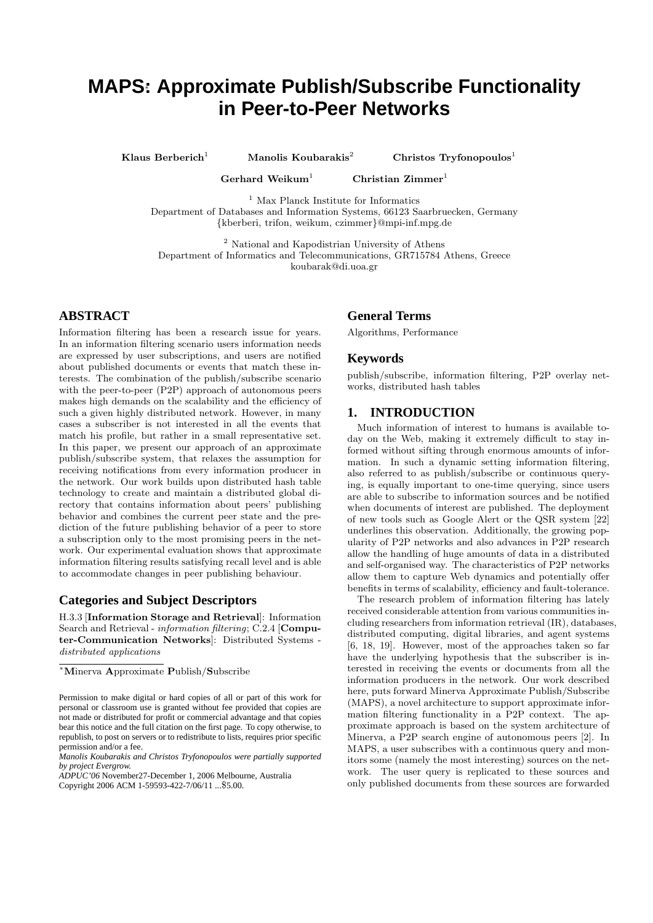# **MAPS**∗**: Approximate Publish/Subscribe Functionality in Peer-to-Peer Networks**

Klaus Berberich<sup>1</sup> Manolis Koubarakis<sup>2</sup> Christos Tryfonopoulos<sup>1</sup>

Gerhard Weikum<sup>1</sup> Christian Zimmer<sup>1</sup>

<sup>1</sup> Max Planck Institute for Informatics

Department of Databases and Information Systems, 66123 Saarbruecken, Germany {kberberi, trifon, weikum, czimmer}@mpi-inf.mpg.de

<sup>2</sup> National and Kapodistrian University of Athens Department of Informatics and Telecommunications, GR715784 Athens, Greece koubarak@di.uoa.gr

# **ABSTRACT**

Information filtering has been a research issue for years. In an information filtering scenario users information needs are expressed by user subscriptions, and users are notified about published documents or events that match these interests. The combination of the publish/subscribe scenario with the peer-to-peer (P2P) approach of autonomous peers makes high demands on the scalability and the efficiency of such a given highly distributed network. However, in many cases a subscriber is not interested in all the events that match his profile, but rather in a small representative set. In this paper, we present our approach of an approximate publish/subscribe system, that relaxes the assumption for receiving notifications from every information producer in the network. Our work builds upon distributed hash table technology to create and maintain a distributed global directory that contains information about peers' publishing behavior and combines the current peer state and the prediction of the future publishing behavior of a peer to store a subscription only to the most promising peers in the network. Our experimental evaluation shows that approximate information filtering results satisfying recall level and is able to accommodate changes in peer publishing behaviour.

# **Categories and Subject Descriptors**

H.3.3 [Information Storage and Retrieval]: Information Search and Retrieval - information filtering; C.2.4 [Computer-Communication Networks]: Distributed Systems distributed applications

# **General Terms**

Algorithms, Performance

# **Keywords**

publish/subscribe, information filtering, P2P overlay networks, distributed hash tables

# **1. INTRODUCTION**

Much information of interest to humans is available today on the Web, making it extremely difficult to stay informed without sifting through enormous amounts of information. In such a dynamic setting information filtering, also referred to as publish/subscribe or continuous querying, is equally important to one-time querying, since users are able to subscribe to information sources and be notified when documents of interest are published. The deployment of new tools such as Google Alert or the QSR system [22] underlines this observation. Additionally, the growing popularity of P2P networks and also advances in P2P research allow the handling of huge amounts of data in a distributed and self-organised way. The characteristics of P2P networks allow them to capture Web dynamics and potentially offer benefits in terms of scalability, efficiency and fault-tolerance.

The research problem of information filtering has lately received considerable attention from various communities including researchers from information retrieval (IR), databases, distributed computing, digital libraries, and agent systems [6, 18, 19]. However, most of the approaches taken so far have the underlying hypothesis that the subscriber is interested in receiving the events or documents from all the information producers in the network. Our work described here, puts forward Minerva Approximate Publish/Subscribe (MAPS), a novel architecture to support approximate information filtering functionality in a P2P context. The approximate approach is based on the system architecture of Minerva, a P2P search engine of autonomous peers [2]. In MAPS, a user subscribes with a continuous query and monitors some (namely the most interesting) sources on the network. The user query is replicated to these sources and only published documents from these sources are forwarded

<sup>∗</sup>Minerva Approximate Publish/Subscribe

Permission to make digital or hard copies of all or part of this work for personal or classroom use is granted without fee provided that copies are not made or distributed for profit or commercial advantage and that copies bear this notice and the full citation on the first page. To copy otherwise, to republish, to post on servers or to redistribute to lists, requires prior specific permission and/or a fee.

*Manolis Koubarakis and Christos Tryfonopoulos were partially supported by project Evergrow.*

*ADPUC'06* November27-December 1, 2006 Melbourne, Australia Copyright 2006 ACM 1-59593-422-7/06/11 ...\$5.00.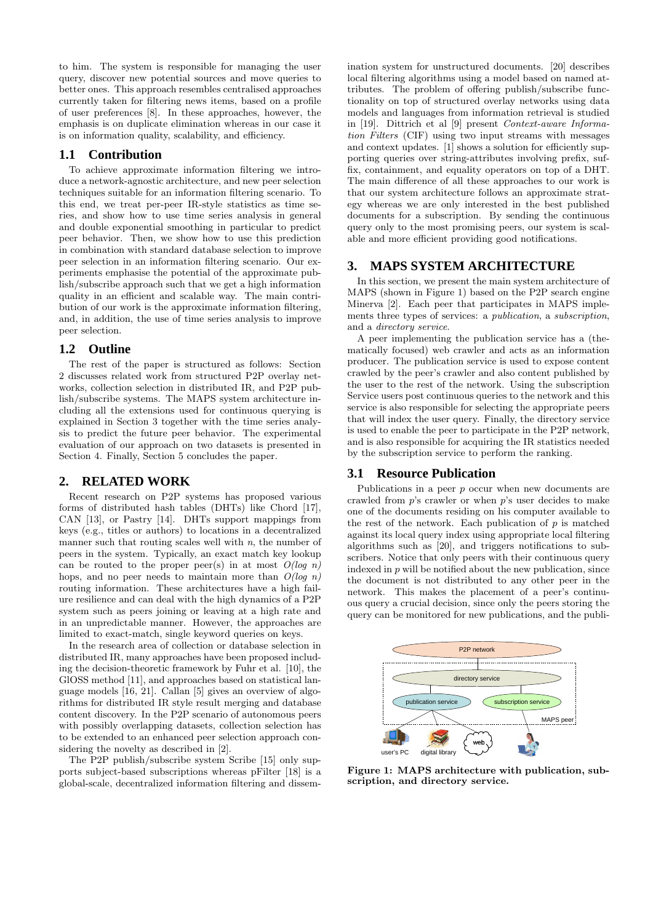to him. The system is responsible for managing the user query, discover new potential sources and move queries to better ones. This approach resembles centralised approaches currently taken for filtering news items, based on a profile of user preferences [8]. In these approaches, however, the emphasis is on duplicate elimination whereas in our case it is on information quality, scalability, and efficiency.

## **1.1 Contribution**

To achieve approximate information filtering we introduce a network-agnostic architecture, and new peer selection techniques suitable for an information filtering scenario. To this end, we treat per-peer IR-style statistics as time series, and show how to use time series analysis in general and double exponential smoothing in particular to predict peer behavior. Then, we show how to use this prediction in combination with standard database selection to improve peer selection in an information filtering scenario. Our experiments emphasise the potential of the approximate publish/subscribe approach such that we get a high information quality in an efficient and scalable way. The main contribution of our work is the approximate information filtering, and, in addition, the use of time series analysis to improve peer selection.

#### **1.2 Outline**

The rest of the paper is structured as follows: Section 2 discusses related work from structured P2P overlay networks, collection selection in distributed IR, and P2P publish/subscribe systems. The MAPS system architecture including all the extensions used for continuous querying is explained in Section 3 together with the time series analysis to predict the future peer behavior. The experimental evaluation of our approach on two datasets is presented in Section 4. Finally, Section 5 concludes the paper.

#### **2. RELATED WORK**

Recent research on P2P systems has proposed various forms of distributed hash tables (DHTs) like Chord [17], CAN [13], or Pastry [14]. DHTs support mappings from keys (e.g., titles or authors) to locations in a decentralized manner such that routing scales well with  $n$ , the number of peers in the system. Typically, an exact match key lookup can be routed to the proper peer(s) in at most  $O(log n)$ hops, and no peer needs to maintain more than  $O(log n)$ routing information. These architectures have a high failure resilience and can deal with the high dynamics of a P2P system such as peers joining or leaving at a high rate and in an unpredictable manner. However, the approaches are limited to exact-match, single keyword queries on keys.

In the research area of collection or database selection in distributed IR, many approaches have been proposed including the decision-theoretic framework by Fuhr et al. [10], the GlOSS method [11], and approaches based on statistical language models [16, 21]. Callan [5] gives an overview of algorithms for distributed IR style result merging and database content discovery. In the P2P scenario of autonomous peers with possibly overlapping datasets, collection selection has to be extended to an enhanced peer selection approach considering the novelty as described in [2].

The P2P publish/subscribe system Scribe [15] only supports subject-based subscriptions whereas pFilter [18] is a global-scale, decentralized information filtering and dissemination system for unstructured documents. [20] describes local filtering algorithms using a model based on named attributes. The problem of offering publish/subscribe functionality on top of structured overlay networks using data models and languages from information retrieval is studied in [19]. Dittrich et al [9] present Context-aware Information Filters (CIF) using two input streams with messages and context updates. [1] shows a solution for efficiently supporting queries over string-attributes involving prefix, suffix, containment, and equality operators on top of a DHT. The main difference of all these approaches to our work is that our system architecture follows an approximate strategy whereas we are only interested in the best published documents for a subscription. By sending the continuous query only to the most promising peers, our system is scalable and more efficient providing good notifications.

#### **3. MAPS SYSTEM ARCHITECTURE**

In this section, we present the main system architecture of MAPS (shown in Figure 1) based on the P2P search engine Minerva [2]. Each peer that participates in MAPS implements three types of services: a publication, a subscription, and a directory service.

A peer implementing the publication service has a (thematically focused) web crawler and acts as an information producer. The publication service is used to expose content crawled by the peer's crawler and also content published by the user to the rest of the network. Using the subscription Service users post continuous queries to the network and this service is also responsible for selecting the appropriate peers that will index the user query. Finally, the directory service is used to enable the peer to participate in the P2P network, and is also responsible for acquiring the IR statistics needed by the subscription service to perform the ranking.

## **3.1 Resource Publication**

Publications in a peer p occur when new documents are crawled from  $p$ 's crawler or when  $p$ 's user decides to make one of the documents residing on his computer available to the rest of the network. Each publication of  $p$  is matched against its local query index using appropriate local filtering algorithms such as [20], and triggers notifications to subscribers. Notice that only peers with their continuous query indexed in  $p$  will be notified about the new publication, since the document is not distributed to any other peer in the network. This makes the placement of a peer's continuous query a crucial decision, since only the peers storing the query can be monitored for new publications, and the publi-



Figure 1: MAPS architecture with publication, subscription, and directory service.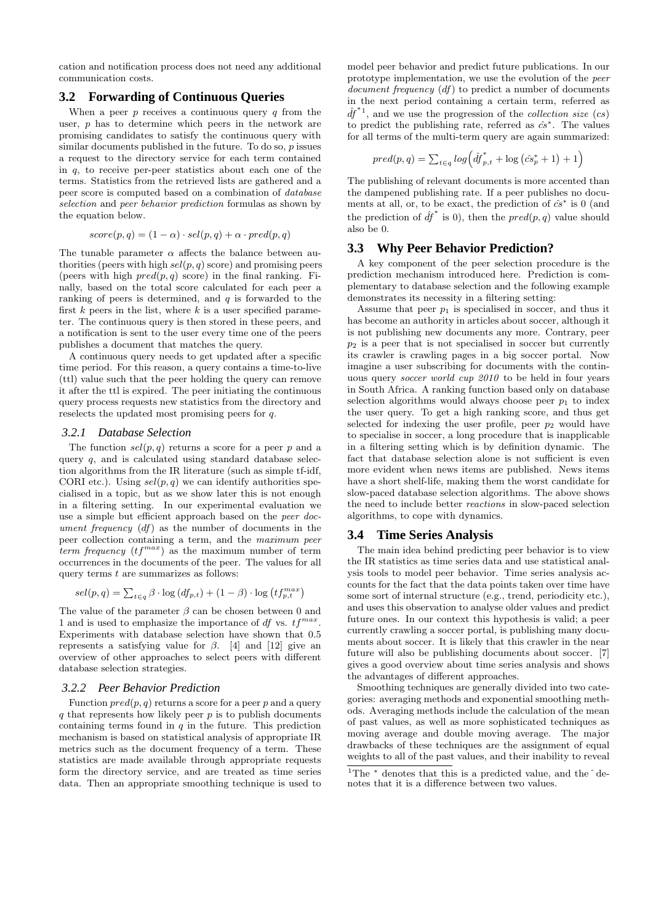cation and notification process does not need any additional communication costs.

#### **3.2 Forwarding of Continuous Queries**

When a peer  $p$  receives a continuous query  $q$  from the user, p has to determine which peers in the network are promising candidates to satisfy the continuous query with similar documents published in the future. To do so,  $p$  issues a request to the directory service for each term contained in  $q$ , to receive per-peer statistics about each one of the terms. Statistics from the retrieved lists are gathered and a peer score is computed based on a combination of database selection and peer behavior prediction formulas as shown by the equation below.

$$
score(p, q) = (1 - \alpha) \cdot sel(p, q) + \alpha \cdot pred(p, q)
$$

The tunable parameter  $\alpha$  affects the balance between authorities (peers with high  $\text{sel}(p, q)$  score) and promising peers (peers with high  $pred(p, q)$  score) in the final ranking. Finally, based on the total score calculated for each peer a ranking of peers is determined, and  $q$  is forwarded to the first  $k$  peers in the list, where  $k$  is a user specified parameter. The continuous query is then stored in these peers, and a notification is sent to the user every time one of the peers publishes a document that matches the query.

A continuous query needs to get updated after a specific time period. For this reason, a query contains a time-to-live (ttl) value such that the peer holding the query can remove it after the ttl is expired. The peer initiating the continuous query process requests new statistics from the directory and reselects the updated most promising peers for q.

#### *3.2.1 Database Selection*

The function  $\text{sel}(p, q)$  returns a score for a peer p and a query q, and is calculated using standard database selection algorithms from the IR literature (such as simple tf-idf, CORI etc.). Using  $sel(p, q)$  we can identify authorities specialised in a topic, but as we show later this is not enough in a filtering setting. In our experimental evaluation we use a simple but efficient approach based on the peer document frequency (df) as the number of documents in the peer collection containing a term, and the maximum peer term frequency  $(tf^{max})$  as the maximum number of term occurrences in the documents of the peer. The values for all query terms  $t$  are summarizes as follows:

$$
sel(p, q) = \sum_{t \in q} \beta \cdot \log \left( df_{p,t} \right) + (1 - \beta) \cdot \log \left( tf_{p,t}^{max} \right)
$$

The value of the parameter  $\beta$  can be chosen between 0 and 1 and is used to emphasize the importance of  $df$  vs.  $tf^{max}$ . Experiments with database selection have shown that 0.5 represents a satisfying value for  $\beta$ . [4] and [12] give an overview of other approaches to select peers with different database selection strategies.

#### *3.2.2 Peer Behavior Prediction*

Function  $pred(p, q)$  returns a score for a peer p and a query  $q$  that represents how likely peer  $p$  is to publish documents containing terms found in  $q$  in the future. This prediction mechanism is based on statistical analysis of appropriate IR metrics such as the document frequency of a term. These statistics are made available through appropriate requests form the directory service, and are treated as time series data. Then an appropriate smoothing technique is used to

model peer behavior and predict future publications. In our prototype implementation, we use the evolution of the peer document frequency  $(df)$  to predict a number of documents in the next period containing a certain term, referred as  $\hat{df}^{*1}$ , and we use the progression of the *collection size* (*cs*) to predict the publishing rate, referred as  $\hat{cs}^*$ . The values for all terms of the multi-term query are again summarized:

$$
pred(p, q) = \sum_{t \in q} log(\hat{df}_{p,t}^* + log(\hat{cs}_p^* + 1) + 1)
$$

The publishing of relevant documents is more accented than the dampened publishing rate. If a peer publishes no documents at all, or, to be exact, the prediction of  $\hat{cs}^*$  is 0 (and the prediction of  $\hat{df}^*$  is 0), then the  $pred(p, q)$  value should also be 0.

#### **3.3 Why Peer Behavior Prediction?**

A key component of the peer selection procedure is the prediction mechanism introduced here. Prediction is complementary to database selection and the following example demonstrates its necessity in a filtering setting:

Assume that peer  $p_1$  is specialised in soccer, and thus it has become an authority in articles about soccer, although it is not publishing new documents any more. Contrary, peer  $p_2$  is a peer that is not specialised in soccer but currently its crawler is crawling pages in a big soccer portal. Now imagine a user subscribing for documents with the continuous query soccer world cup 2010 to be held in four years in South Africa. A ranking function based only on database selection algorithms would always choose peer  $p_1$  to index the user query. To get a high ranking score, and thus get selected for indexing the user profile, peer  $p_2$  would have to specialise in soccer, a long procedure that is inapplicable in a filtering setting which is by definition dynamic. The fact that database selection alone is not sufficient is even more evident when news items are published. News items have a short shelf-life, making them the worst candidate for slow-paced database selection algorithms. The above shows the need to include better reactions in slow-paced selection algorithms, to cope with dynamics.

#### **3.4 Time Series Analysis**

The main idea behind predicting peer behavior is to view the IR statistics as time series data and use statistical analysis tools to model peer behavior. Time series analysis accounts for the fact that the data points taken over time have some sort of internal structure (e.g., trend, periodicity etc.), and uses this observation to analyse older values and predict future ones. In our context this hypothesis is valid; a peer currently crawling a soccer portal, is publishing many documents about soccer. It is likely that this crawler in the near future will also be publishing documents about soccer. [7] gives a good overview about time series analysis and shows the advantages of different approaches.

Smoothing techniques are generally divided into two categories: averaging methods and exponential smoothing methods. Averaging methods include the calculation of the mean of past values, as well as more sophisticated techniques as moving average and double moving average. The major drawbacks of these techniques are the assignment of equal weights to all of the past values, and their inability to reveal

 $1\text{The}$  \* denotes that this is a predicted value, and the ^denotes that it is a difference between two values.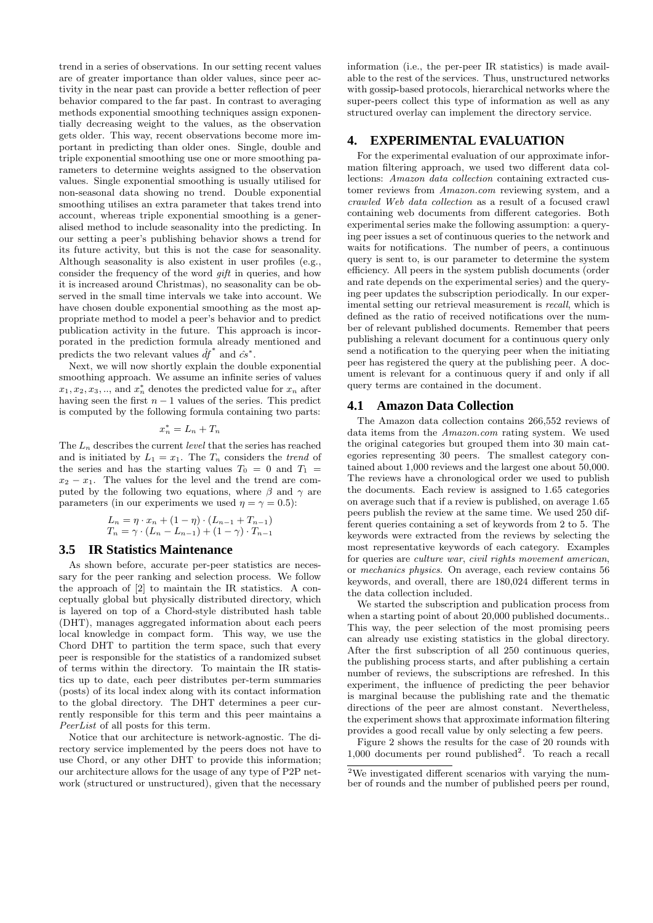trend in a series of observations. In our setting recent values are of greater importance than older values, since peer activity in the near past can provide a better reflection of peer behavior compared to the far past. In contrast to averaging methods exponential smoothing techniques assign exponentially decreasing weight to the values, as the observation gets older. This way, recent observations become more important in predicting than older ones. Single, double and triple exponential smoothing use one or more smoothing parameters to determine weights assigned to the observation values. Single exponential smoothing is usually utilised for non-seasonal data showing no trend. Double exponential smoothing utilises an extra parameter that takes trend into account, whereas triple exponential smoothing is a generalised method to include seasonality into the predicting. In our setting a peer's publishing behavior shows a trend for its future activity, but this is not the case for seasonality. Although seasonality is also existent in user profiles (e.g., consider the frequency of the word gift in queries, and how it is increased around Christmas), no seasonality can be observed in the small time intervals we take into account. We have chosen double exponential smoothing as the most appropriate method to model a peer's behavior and to predict publication activity in the future. This approach is incorporated in the prediction formula already mentioned and predicts the two relevant values  $\hat{df}^*$  and  $\hat{cs}^*$ .

Next, we will now shortly explain the double exponential smoothing approach. We assume an infinite series of values  $x_1, x_2, x_3, \ldots$ , and  $x_n^*$  denotes the predicted value for  $x_n$  after having seen the first  $n - 1$  values of the series. This predict is computed by the following formula containing two parts:

$$
x_n^* = L_n + T_n
$$

The  $L_n$  describes the current *level* that the series has reached and is initiated by  $L_1 = x_1$ . The  $T_n$  considers the trend of the series and has the starting values  $T_0 = 0$  and  $T_1 =$  $x_2 - x_1$ . The values for the level and the trend are computed by the following two equations, where  $\beta$  and  $\gamma$  are parameters (in our experiments we used  $\eta = \gamma = 0.5$ ):

$$
L_n = \eta \cdot x_n + (1 - \eta) \cdot (L_{n-1} + T_{n-1})
$$
  

$$
T_n = \gamma \cdot (L_n - L_{n-1}) + (1 - \gamma) \cdot T_{n-1}
$$

#### **3.5 IR Statistics Maintenance**

As shown before, accurate per-peer statistics are necessary for the peer ranking and selection process. We follow the approach of [2] to maintain the IR statistics. A conceptually global but physically distributed directory, which is layered on top of a Chord-style distributed hash table (DHT), manages aggregated information about each peers local knowledge in compact form. This way, we use the Chord DHT to partition the term space, such that every peer is responsible for the statistics of a randomized subset of terms within the directory. To maintain the IR statistics up to date, each peer distributes per-term summaries (posts) of its local index along with its contact information to the global directory. The DHT determines a peer currently responsible for this term and this peer maintains a PeerList of all posts for this term.

Notice that our architecture is network-agnostic. The directory service implemented by the peers does not have to use Chord, or any other DHT to provide this information; our architecture allows for the usage of any type of P2P network (structured or unstructured), given that the necessary information (i.e., the per-peer IR statistics) is made available to the rest of the services. Thus, unstructured networks with gossip-based protocols, hierarchical networks where the super-peers collect this type of information as well as any structured overlay can implement the directory service.

## **4. EXPERIMENTAL EVALUATION**

For the experimental evaluation of our approximate information filtering approach, we used two different data collections: Amazon data collection containing extracted customer reviews from Amazon.com reviewing system, and a crawled Web data collection as a result of a focused crawl containing web documents from different categories. Both experimental series make the following assumption: a querying peer issues a set of continuous queries to the network and waits for notifications. The number of peers, a continuous query is sent to, is our parameter to determine the system efficiency. All peers in the system publish documents (order and rate depends on the experimental series) and the querying peer updates the subscription periodically. In our experimental setting our retrieval measurement is recall, which is defined as the ratio of received notifications over the number of relevant published documents. Remember that peers publishing a relevant document for a continuous query only send a notification to the querying peer when the initiating peer has registered the query at the publishing peer. A document is relevant for a continuous query if and only if all query terms are contained in the document.

## **4.1 Amazon Data Collection**

The Amazon data collection contains 266,552 reviews of data items from the Amazon.com rating system. We used the original categories but grouped them into 30 main categories representing 30 peers. The smallest category contained about 1,000 reviews and the largest one about 50,000. The reviews have a chronological order we used to publish the documents. Each review is assigned to 1.65 categories on average such that if a review is published, on average 1.65 peers publish the review at the same time. We used 250 different queries containing a set of keywords from 2 to 5. The keywords were extracted from the reviews by selecting the most representative keywords of each category. Examples for queries are culture war, civil rights movement american, or mechanics physics. On average, each review contains 56 keywords, and overall, there are 180,024 different terms in the data collection included.

We started the subscription and publication process from when a starting point of about 20,000 published documents.. This way, the peer selection of the most promising peers can already use existing statistics in the global directory. After the first subscription of all 250 continuous queries, the publishing process starts, and after publishing a certain number of reviews, the subscriptions are refreshed. In this experiment, the influence of predicting the peer behavior is marginal because the publishing rate and the thematic directions of the peer are almost constant. Nevertheless, the experiment shows that approximate information filtering provides a good recall value by only selecting a few peers.

Figure 2 shows the results for the case of 20 rounds with  $1,000$  documents per round published<sup>2</sup>. To reach a recall

<sup>2</sup>We investigated different scenarios with varying the number of rounds and the number of published peers per round,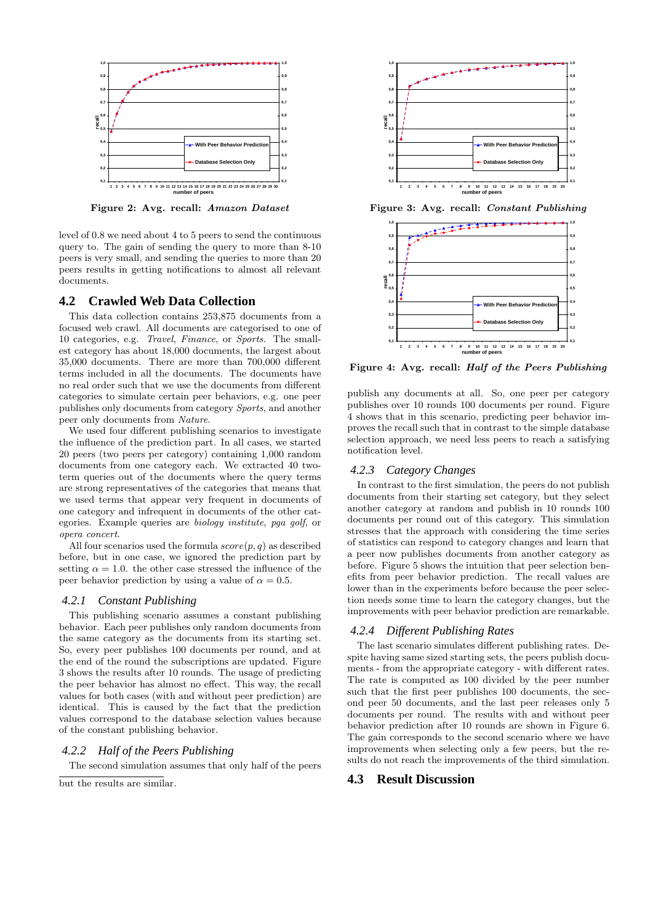

Figure 2: Avg. recall: Amazon Dataset

level of 0.8 we need about 4 to 5 peers to send the continuous query to. The gain of sending the query to more than 8-10 peers is very small, and sending the queries to more than 20 peers results in getting notifications to almost all relevant documents.

#### **4.2 Crawled Web Data Collection**

This data collection contains 253,875 documents from a focused web crawl. All documents are categorised to one of 10 categories, e.g. Travel, Finance, or Sports. The smallest category has about 18,000 documents, the largest about 35,000 documents. There are more than 700,000 different terms included in all the documents. The documents have no real order such that we use the documents from different categories to simulate certain peer behaviors, e.g. one peer publishes only documents from category Sports, and another peer only documents from Nature.

We used four different publishing scenarios to investigate the influence of the prediction part. In all cases, we started 20 peers (two peers per category) containing 1,000 random documents from one category each. We extracted 40 twoterm queries out of the documents where the query terms are strong representatives of the categories that means that we used terms that appear very frequent in documents of one category and infrequent in documents of the other categories. Example queries are biology institute, pga golf, or opera concert.

All four scenarios used the formula  $score(p, q)$  as described before, but in one case, we ignored the prediction part by setting  $\alpha = 1.0$ . the other case stressed the influence of the peer behavior prediction by using a value of  $\alpha = 0.5$ .

#### *4.2.1 Constant Publishing*

This publishing scenario assumes a constant publishing behavior. Each peer publishes only random documents from the same category as the documents from its starting set. So, every peer publishes 100 documents per round, and at the end of the round the subscriptions are updated. Figure 3 shows the results after 10 rounds. The usage of predicting the peer behavior has almost no effect. This way, the recall values for both cases (with and without peer prediction) are identical. This is caused by the fact that the prediction values correspond to the database selection values because of the constant publishing behavior.

# *4.2.2 Half of the Peers Publishing*

The second simulation assumes that only half of the peers

but the results are similar.



Figure 3: Avg. recall: Constant Publishing



Figure 4: Avg. recall: Half of the Peers Publishing

publish any documents at all. So, one peer per category publishes over 10 rounds 100 documents per round. Figure 4 shows that in this scenario, predicting peer behavior improves the recall such that in contrast to the simple database selection approach, we need less peers to reach a satisfying notification level.

#### *4.2.3 Category Changes*

In contrast to the first simulation, the peers do not publish documents from their starting set category, but they select another category at random and publish in 10 rounds 100 documents per round out of this category. This simulation stresses that the approach with considering the time series of statistics can respond to category changes and learn that a peer now publishes documents from another category as before. Figure 5 shows the intuition that peer selection benefits from peer behavior prediction. The recall values are lower than in the experiments before because the peer selection needs some time to learn the category changes, but the improvements with peer behavior prediction are remarkable.

#### *4.2.4 Different Publishing Rates*

The last scenario simulates different publishing rates. Despite having same sized starting sets, the peers publish documents - from the appropriate category - with different rates. The rate is computed as 100 divided by the peer number such that the first peer publishes 100 documents, the second peer 50 documents, and the last peer releases only 5 documents per round. The results with and without peer behavior prediction after 10 rounds are shown in Figure 6. The gain corresponds to the second scenario where we have improvements when selecting only a few peers, but the results do not reach the improvements of the third simulation.

#### **4.3 Result Discussion**